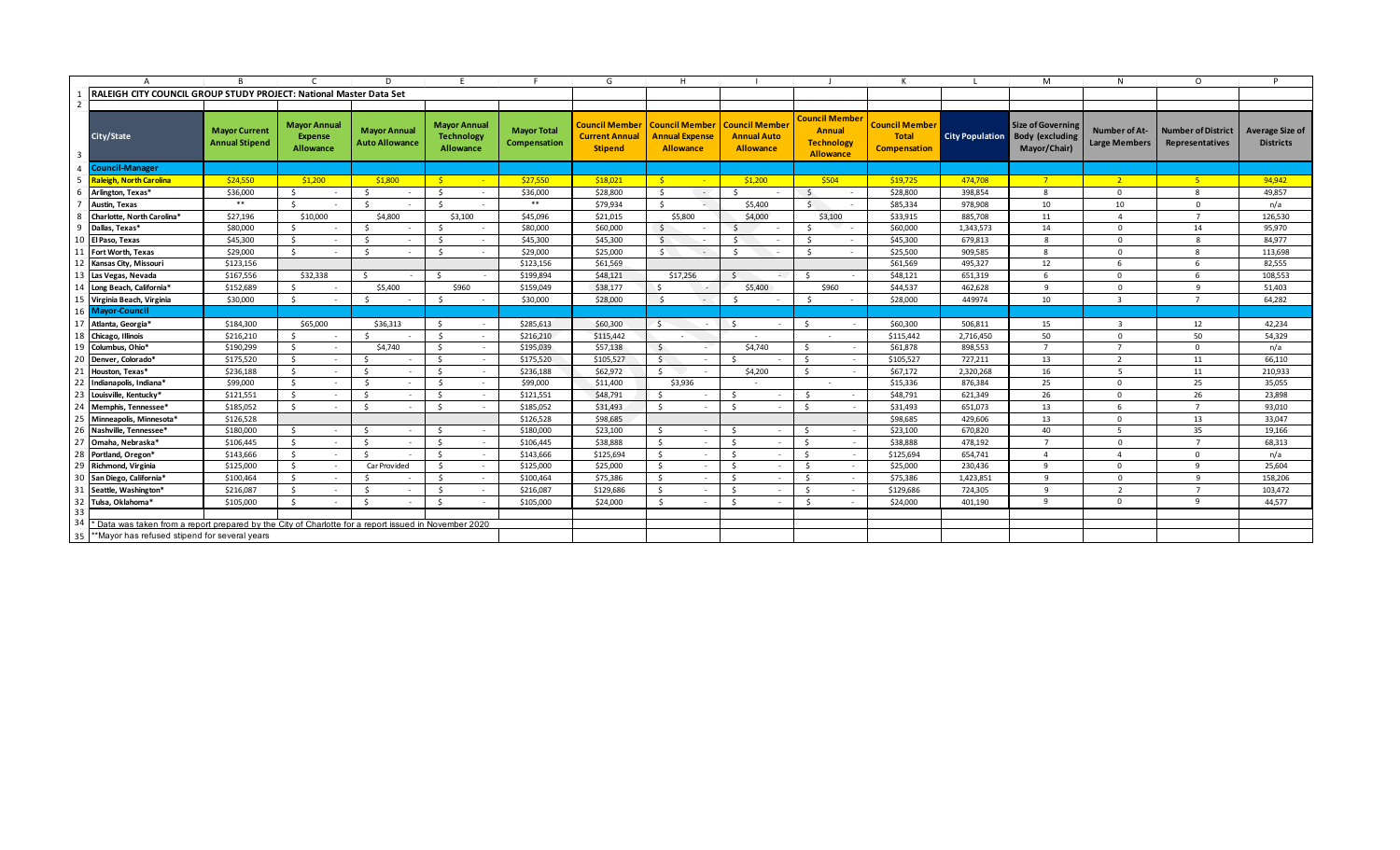|                                                     |                                                                                                     |                                               |                                                    | D.                                           |                                                       |                                    | G                                                                | H                                                                                   |                                        |                                                                          |                                                       |                        | M                                                                  | N                                     | $\Omega$                                            | D                                          |
|-----------------------------------------------------|-----------------------------------------------------------------------------------------------------|-----------------------------------------------|----------------------------------------------------|----------------------------------------------|-------------------------------------------------------|------------------------------------|------------------------------------------------------------------|-------------------------------------------------------------------------------------|----------------------------------------|--------------------------------------------------------------------------|-------------------------------------------------------|------------------------|--------------------------------------------------------------------|---------------------------------------|-----------------------------------------------------|--------------------------------------------|
|                                                     | RALEIGH CITY COUNCIL GROUP STUDY PROJECT: National Master Data Set                                  |                                               |                                                    |                                              |                                                       |                                    |                                                                  |                                                                                     |                                        |                                                                          |                                                       |                        |                                                                    |                                       |                                                     |                                            |
|                                                     |                                                                                                     |                                               |                                                    |                                              |                                                       |                                    |                                                                  |                                                                                     |                                        |                                                                          |                                                       |                        |                                                                    |                                       |                                                     |                                            |
|                                                     | City/State                                                                                          | <b>Mayor Current</b><br><b>Annual Stipend</b> | <b>Mayor Annual</b><br><b>Expense</b><br>Allowance | <b>Mayor Annual</b><br><b>Auto Allowance</b> | <b>Mayor Annual</b><br><b>Technology</b><br>Allowance | <b>Mayor Total</b><br>Compensation | <b>Council Member</b><br><b>Current Annual</b><br><b>Stipend</b> | <b>Council Member   Council Member</b><br><b>Annual Expense</b><br><b>Allowance</b> | <b>Annual Auto</b><br><b>Allowance</b> | <b>Council Member</b><br><b>Annual</b><br><b>Technology</b><br>Allowance | <b>Council Member</b><br>Total<br><b>Compensation</b> | <b>City Population</b> | <b>Size of Governing</b><br><b>Body (excluding</b><br>Mayor/Chair) | Number of At-<br><b>Large Members</b> | <b>Number of District</b><br><b>Representatives</b> | <b>Average Size of</b><br><b>Districts</b> |
|                                                     | <b>Council-Manager</b>                                                                              |                                               |                                                    |                                              |                                                       |                                    |                                                                  |                                                                                     |                                        |                                                                          |                                                       |                        |                                                                    |                                       |                                                     |                                            |
|                                                     | <b>Raleigh, North Carolina</b>                                                                      | \$24,550                                      | \$1,200                                            | \$1.800                                      | - \$-                                                 | \$27,550                           | \$18,021                                                         | - \$-                                                                               | \$1,200                                | \$504                                                                    | \$19,725                                              | 474,708                | $7^{\circ}$                                                        | 2 <sup>1</sup>                        | $-5$                                                | 94,942                                     |
|                                                     | Arlington, Texas*                                                                                   | \$36,000                                      | $\zeta$                                            | -Ś<br>$\sim$                                 | $\mathsf{S}$                                          | \$36,000                           | \$28,800                                                         | S.<br>$\sim$                                                                        |                                        | $\mathsf{S}$                                                             | \$28,800                                              | 398,854                | 8                                                                  | $\Omega$                              | 8                                                   | 49,857                                     |
|                                                     | Austin, Texas                                                                                       | $***$                                         | $\zeta$                                            | S,                                           | $\zeta$                                               | $* *$                              | \$79,934                                                         | Ŝ.<br>$\sim$                                                                        | \$5,400                                | $\mathsf{S}$                                                             | \$85,334                                              | 978,908                | 10                                                                 | 10                                    | $\Omega$                                            | n/a                                        |
|                                                     | Charlotte, North Carolina*                                                                          | \$27,196                                      | \$10,000                                           | \$4,800                                      | \$3,100                                               | \$45,096                           | \$21,015                                                         | \$5,800                                                                             | \$4,000                                | \$3,100                                                                  | \$33,915                                              | 885,708                | 11                                                                 | $\overline{a}$                        | $\overline{7}$                                      | 126,530                                    |
|                                                     | Dallas, Texas*                                                                                      | \$80,000                                      | -Ś                                                 | -Ś<br>$\sim$                                 | - Ś                                                   | \$80,000                           | \$60,000                                                         | S.                                                                                  | -Ś<br>$\overline{\phantom{a}}$         | - Ś<br>$\overline{\phantom{a}}$                                          | \$60,000                                              | 1,343,573              | 14                                                                 | $\Omega$                              | 14                                                  | 95,970                                     |
| 10                                                  | El Paso, Texas                                                                                      | \$45,300                                      | - \$                                               | - Ś                                          | - Ś                                                   | \$45,300                           | \$45,300                                                         | S.                                                                                  | Š.                                     | - Ś                                                                      | \$45,300                                              | 679,813                | $\mathbf{R}$                                                       | $\Omega$                              |                                                     | 84,977                                     |
|                                                     | Fort Worth, Texas                                                                                   | \$29,000                                      | - Ś                                                | -Ś<br>$\sim$                                 | S.                                                    | \$29,000                           | \$25,000                                                         | S.<br>$\sim$                                                                        | - Ś                                    | $\mathsf{S}$                                                             | \$25,500                                              | 909,585                | -8                                                                 | $\Omega$                              | 8                                                   | 113,698                                    |
|                                                     | Kansas City, Missouri                                                                               | \$123,156                                     |                                                    |                                              |                                                       | \$123,156                          | \$61,569                                                         |                                                                                     |                                        |                                                                          | \$61,569                                              | 495,327                | 12                                                                 | 6                                     | 6                                                   | 82,555                                     |
| 13                                                  | Las Vegas, Nevada                                                                                   | \$167,556                                     | \$32,338                                           |                                              | $\zeta$                                               | \$199,894                          | \$48,121                                                         | \$17,256                                                                            |                                        | -Ś                                                                       | \$48,121                                              | 651,319                | 6                                                                  | $\Omega$                              | 6                                                   | 108,553                                    |
|                                                     | Long Beach, California*                                                                             | \$152,689                                     | -Ś                                                 | \$5,400                                      | \$960                                                 | \$159,049                          | \$38,177                                                         |                                                                                     | \$5,400                                | \$960                                                                    | \$44,537                                              | 462,628                | $\mathbf{q}$                                                       | $\Omega$                              | $\mathbf{q}$                                        | 51,403                                     |
|                                                     | 15 Virginia Beach, Virginia                                                                         | \$30,000                                      | S.                                                 | $\leq$                                       | $\zeta$                                               | \$30,000                           | \$28,000                                                         | $\leq$<br>$\sim$                                                                    | S,                                     | $\leq$                                                                   | \$28,000                                              | 449974                 | 10                                                                 | $\overline{3}$                        | $\overline{7}$                                      | 64,282                                     |
|                                                     | 16 Mayor-Council                                                                                    |                                               |                                                    |                                              |                                                       |                                    |                                                                  |                                                                                     |                                        |                                                                          |                                                       |                        |                                                                    |                                       |                                                     |                                            |
| 17                                                  | Atlanta, Georgia*                                                                                   | \$184,300                                     | \$65,000                                           | \$36,313                                     | - Ś                                                   | \$285,613                          | \$60,300                                                         | S.                                                                                  | S.                                     | S.                                                                       | \$60,300                                              | 506,811                | 15                                                                 | $\overline{z}$                        | 12                                                  | 42,234                                     |
| 18                                                  | Chicago, Illinois                                                                                   | \$216,210                                     |                                                    |                                              | $\leq$<br>$\sim$                                      | \$216,210                          | \$115,442                                                        |                                                                                     | $\sim$                                 |                                                                          | \$115,442                                             | 2,716,450              | 50                                                                 | $\Omega$                              | 50                                                  | 54,329                                     |
| 19                                                  | Columbus, Ohio*                                                                                     | \$190,299                                     | S.<br>$\sim$                                       | \$4,740                                      | S.<br>$\sim$                                          | \$195,039                          | \$57,138                                                         | S.<br>$\sim$                                                                        | \$4,740                                | S.<br>$\sim$                                                             | \$61,878                                              | 898,553                | $\overline{7}$                                                     | $\overline{7}$                        | $\Omega$                                            | n/a                                        |
| 20                                                  | Denver, Colorado*                                                                                   | \$175,520                                     | \$<br>$\sim$                                       | -Ś                                           | \$                                                    | \$175,520                          | \$105,527                                                        | - Ś                                                                                 |                                        | S.                                                                       | \$105,527                                             | 727,211                | 13                                                                 | $\overline{\phantom{a}}$              | 11                                                  | 66,110                                     |
| 21                                                  | Houston. Texas*                                                                                     | \$236,188                                     | - \$                                               | Ś.                                           | S.                                                    | \$236,188                          | \$62,972                                                         | Ŝ.                                                                                  | \$4,200                                | S.                                                                       | \$67,172                                              | 2,320,268              | 16                                                                 | $5^{\circ}$                           | 11                                                  | 210,933                                    |
| 22                                                  | Indianapolis, Indiana*                                                                              | \$99,000                                      | - \$                                               | -Ś<br>$\sim$                                 | - \$                                                  | \$99,000                           | \$11,400                                                         | \$3,936                                                                             | $\sim$                                 | $\sim$                                                                   | \$15,336                                              | 876,384                | 25                                                                 | $\Omega$                              | 25                                                  | 35,055                                     |
| 23                                                  | Louisville, Kentucky*                                                                               | \$121,551                                     | S.                                                 | -Ś<br>$\sim$                                 | $\mathsf{S}$                                          | \$121,551                          | \$48,791                                                         | <b>S</b>                                                                            |                                        | Ś.<br>$\sim$                                                             | \$48,791                                              | 621,349                | 26                                                                 | $\Omega$                              | 26                                                  | 23,898                                     |
| 24                                                  | Memphis, Tennessee*                                                                                 | \$185,052                                     | S.                                                 | $\leq$                                       | $\mathsf{S}$                                          | \$185,052                          | \$31,493                                                         | - Ś                                                                                 | $\zeta$                                | Ŝ.                                                                       | \$31,493                                              | 651,073                | 13                                                                 | 6                                     | $\overline{7}$                                      | 93,010                                     |
| 25                                                  | Minneapolis, Minnesota*                                                                             | \$126,528                                     |                                                    |                                              |                                                       | \$126,528                          | \$98,685                                                         |                                                                                     |                                        |                                                                          | \$98,685                                              | 429,606                | 13                                                                 | $\Omega$                              | 13                                                  | 33,047                                     |
| 26                                                  | Nashville, Tennessee*                                                                               | \$180,000                                     | - \$                                               | -Ś<br>$\sim$                                 | S.                                                    | \$180,000                          | \$23,100                                                         | - Ś                                                                                 | - Ś                                    | S.                                                                       | \$23,100                                              | 670,820                | 40                                                                 | $\overline{a}$                        | 35                                                  | 19,166                                     |
| 27                                                  | Omaha, Nebraska*                                                                                    | \$106,445                                     | - Ś<br>$\sim$                                      | -Ś<br>$\sim$                                 | S.<br>$\sim$                                          | \$106,445                          | \$38,888                                                         | $\mathsf{S}$<br>$\sim$                                                              | -Ś                                     | S.<br>$\sim$                                                             | \$38,888                                              | 478,192                | $\overline{7}$                                                     | $\Omega$                              |                                                     | 68,313                                     |
| 28                                                  | Portland, Oregon*                                                                                   | \$143,666                                     | $\mathsf{S}$<br>$\sim$                             | -Ś                                           | $\mathsf{s}$                                          | \$143,666                          | \$125,694                                                        | -Ś<br>٠                                                                             | $\sim$                                 | Ŝ.<br>$\sim$                                                             | \$125,694                                             | 654,741                | $\overline{a}$                                                     | $\mathbf{A}$                          | $\Omega$                                            | n/a                                        |
| 29                                                  | Richmond, Virginia                                                                                  | \$125,000                                     | - \$                                               | Car Provided                                 | \$<br>$\sim$                                          | \$125,000                          | \$25,000                                                         | - Ś<br>٠                                                                            | -Ś                                     | \$                                                                       | \$25,000                                              | 230,436                | 9                                                                  | $\Omega$                              | 9                                                   | 25,604                                     |
| 30                                                  | San Diego, California*                                                                              | \$100,464                                     | - \$                                               | -Ś                                           | - Ś                                                   | \$100,464                          | \$75,386                                                         | -Ś                                                                                  | -Ś                                     | \$                                                                       | \$75,386                                              | 1,423,851              | $\Omega$                                                           | $\Omega$                              | 9                                                   | 158,206                                    |
|                                                     | Seattle, Washington*                                                                                | \$216,087                                     | - Ś                                                | -Ś                                           | - Ś                                                   | \$216,087                          | \$129,686                                                        | - Ś                                                                                 | - Ś                                    | \$                                                                       | \$129,686                                             | 724,305                | -9                                                                 | $\overline{z}$                        | $\overline{7}$                                      | 103,472                                    |
| 32                                                  | Tulsa, Oklahoma*                                                                                    | \$105,000                                     | - S                                                | -Ś<br>$\sim$                                 | Ŝ.                                                    | \$105,000                          | \$24,000                                                         | -Ś                                                                                  |                                        | -\$                                                                      | \$24,000                                              | 401,190                | -9                                                                 | $\Omega$                              | 9                                                   | 44,577                                     |
| 33                                                  |                                                                                                     |                                               |                                                    |                                              |                                                       |                                    |                                                                  |                                                                                     |                                        |                                                                          |                                                       |                        |                                                                    |                                       |                                                     |                                            |
| 34                                                  | bata was taken from a report prepared by the City of Charlotte for a report issued in November 2020 |                                               |                                                    |                                              |                                                       |                                    |                                                                  |                                                                                     |                                        |                                                                          |                                                       |                        |                                                                    |                                       |                                                     |                                            |
| **Mayor has refused stipend for several years<br>35 |                                                                                                     |                                               |                                                    |                                              |                                                       |                                    |                                                                  |                                                                                     |                                        |                                                                          |                                                       |                        |                                                                    |                                       |                                                     |                                            |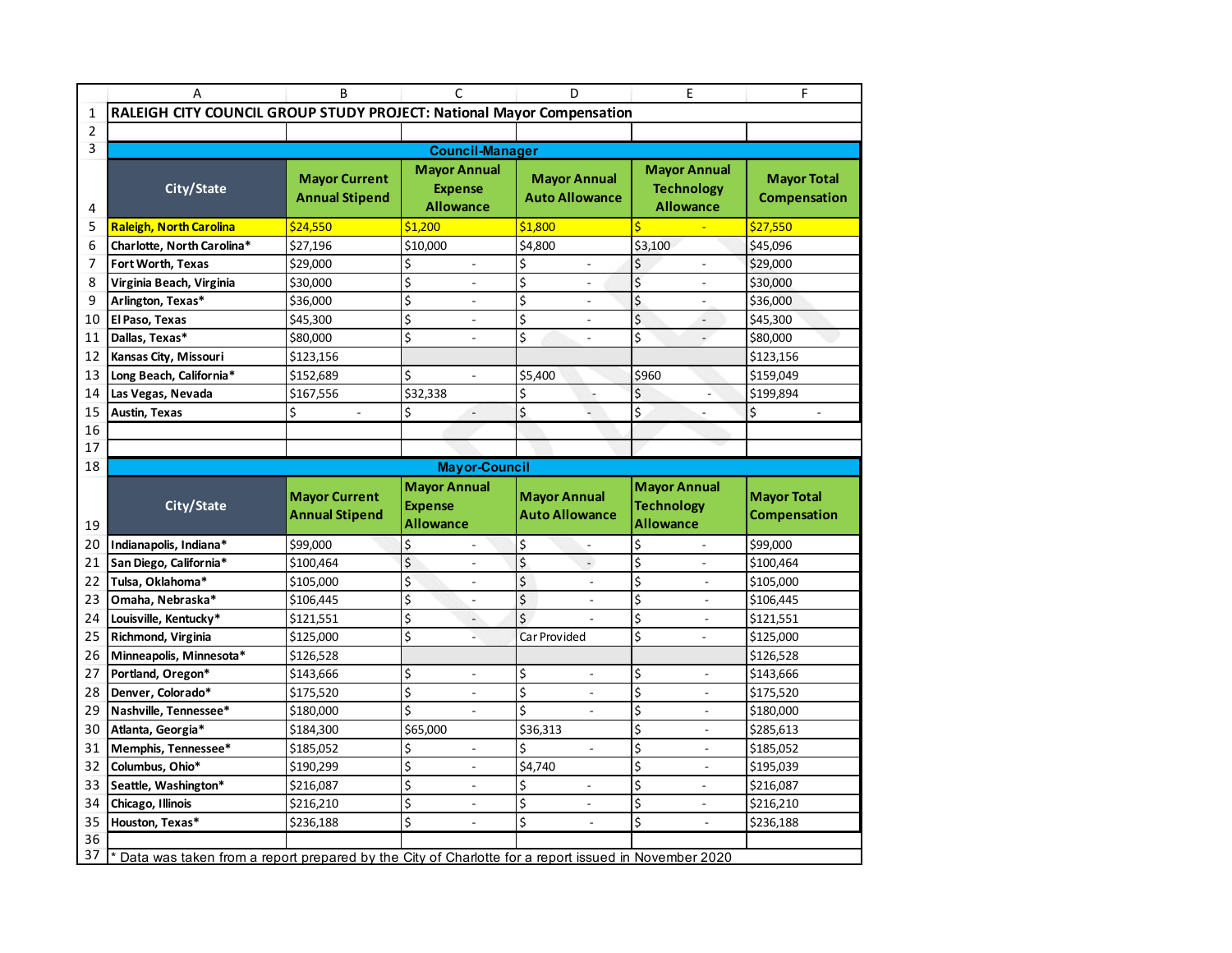|                | A                                                                                                   | B                                             | C                                                         | D                                            | E                                                            | F                                         |  |  |
|----------------|-----------------------------------------------------------------------------------------------------|-----------------------------------------------|-----------------------------------------------------------|----------------------------------------------|--------------------------------------------------------------|-------------------------------------------|--|--|
| 1              | RALEIGH CITY COUNCIL GROUP STUDY PROJECT: National Mayor Compensation                               |                                               |                                                           |                                              |                                                              |                                           |  |  |
| $\overline{2}$ |                                                                                                     |                                               |                                                           |                                              |                                                              |                                           |  |  |
| 3              |                                                                                                     |                                               | <b>Council-Manager</b>                                    |                                              |                                                              |                                           |  |  |
| 4              | City/State                                                                                          | <b>Mayor Current</b><br><b>Annual Stipend</b> | <b>Mayor Annual</b><br><b>Expense</b><br><b>Allowance</b> | <b>Mayor Annual</b><br><b>Auto Allowance</b> | <b>Mayor Annual</b><br><b>Technology</b><br><b>Allowance</b> | <b>Mayor Total</b><br><b>Compensation</b> |  |  |
| 5              | <b>Raleigh, North Carolina</b>                                                                      | \$24,550                                      | \$1,200                                                   | \$1,800                                      | \$                                                           | \$27,550                                  |  |  |
| 6              | \$27,196<br>\$10,000<br>Charlotte, North Carolina*                                                  |                                               |                                                           | \$4,800                                      | \$3,100                                                      | \$45,096                                  |  |  |
| 7              | \$29,000<br>\$<br>Fort Worth, Texas                                                                 |                                               | $\frac{1}{2}$                                             | \$<br>$\overline{\phantom{a}}$               | \$<br>$\overline{\phantom{a}}$                               | \$29,000                                  |  |  |
| 8              | Virginia Beach, Virginia                                                                            | \$30,000                                      | \$                                                        | \$                                           | \$                                                           | \$30,000                                  |  |  |
| 9              | Arlington, Texas*                                                                                   | \$36,000                                      | \$                                                        | \$<br>$\overline{a}$                         | \$                                                           | \$36,000                                  |  |  |
| 10             | El Paso, Texas                                                                                      | \$45,300                                      | \$                                                        | \$                                           | $\overline{\boldsymbol{\zeta}}$                              | \$45,300                                  |  |  |
| 11             | Dallas, Texas*                                                                                      | \$80,000                                      | \$<br>$\overline{\phantom{a}}$                            | \$<br>$\overline{\phantom{a}}$               | $\overline{\mathsf{S}}$<br>$\overline{a}$                    | \$80,000                                  |  |  |
| 12             | Kansas City, Missouri                                                                               | \$123,156                                     |                                                           |                                              |                                                              | \$123,156                                 |  |  |
| 13             | Long Beach, California*                                                                             | \$152,689                                     | \$<br>$\overline{a}$                                      | \$5,400                                      | \$960                                                        | \$159,049                                 |  |  |
| 14             | Las Vegas, Nevada                                                                                   | \$167,556                                     | \$32,338                                                  | \$                                           | \$                                                           | \$199,894                                 |  |  |
| 15             | Austin, Texas                                                                                       | \$<br>$\overline{\phantom{a}}$                | \$<br>×.                                                  | \$<br>÷.                                     | \$<br>$\overline{a}$                                         | \$<br>$\bar{\mathcal{L}}$                 |  |  |
| 16             |                                                                                                     |                                               |                                                           |                                              |                                                              |                                           |  |  |
| 17             |                                                                                                     |                                               |                                                           |                                              |                                                              |                                           |  |  |
| 18             |                                                                                                     |                                               | <b>Mayor-Council</b>                                      |                                              |                                                              |                                           |  |  |
|                |                                                                                                     |                                               |                                                           |                                              |                                                              |                                           |  |  |
| 19             | City/State                                                                                          | <b>Mayor Current</b><br><b>Annual Stipend</b> | <b>Mayor Annual</b><br><b>Expense</b><br><b>Allowance</b> | <b>Mayor Annual</b><br><b>Auto Allowance</b> | <b>Mayor Annual</b><br><b>Technology</b><br><b>Allowance</b> | <b>Mayor Total</b><br><b>Compensation</b> |  |  |
| 20             | Indianapolis, Indiana*                                                                              |                                               | \$<br>$\overline{a}$                                      | \$<br>$\overline{\phantom{a}}$               | \$                                                           | \$99,000                                  |  |  |
| 21             | San Diego, California*                                                                              | \$99,000<br>\$100,464                         | \$                                                        | \$<br>$\frac{1}{2}$                          | \$                                                           | \$100,464                                 |  |  |
| 22             | Tulsa, Oklahoma*                                                                                    | \$105,000                                     | \$                                                        | \$                                           | \$                                                           | \$105,000                                 |  |  |
| 23             | Omaha, Nebraska*                                                                                    | \$106,445                                     | \$<br>$\overline{\phantom{a}}$                            | \$<br>$\overline{\phantom{a}}$               | \$<br>$\overline{\phantom{a}}$                               | \$106,445                                 |  |  |
| 24             | Louisville, Kentucky*                                                                               | \$121,551                                     | \$<br>$\overline{a}$                                      | \$                                           | \$<br>$\overline{a}$                                         | \$121,551                                 |  |  |
| 25             | Richmond, Virginia                                                                                  | \$125,000                                     | \$                                                        | Car Provided                                 | \$                                                           | \$125,000                                 |  |  |
| 26             | Minneapolis, Minnesota*                                                                             | \$126,528                                     |                                                           |                                              |                                                              | \$126,528                                 |  |  |
| 27             | Portland, Oregon*                                                                                   | \$143,666                                     | \$<br>$\frac{1}{2}$                                       | \$<br>$\sim$                                 | \$<br>$\blacksquare$                                         | \$143,666                                 |  |  |
| 28             | Denver, Colorado*                                                                                   | \$175,520                                     | \$<br>$\overline{\phantom{m}}$                            | \$                                           | \$<br>$\overline{\phantom{m}}$                               | \$175,520                                 |  |  |
| 29             | Nashville, Tennessee*                                                                               | \$180,000                                     | \$<br>$\overline{a}$                                      | \$                                           | \$<br>$\overline{a}$                                         | \$180,000                                 |  |  |
| 30             | Atlanta, Georgia*                                                                                   | \$184,300                                     | \$65,000                                                  | $\overline{$}36,313$                         | \$                                                           | \$285,613                                 |  |  |
| 31             | Memphis, Tennessee*                                                                                 | \$185,052                                     | \$<br>$\overline{a}$                                      | \$<br>$\mathcal{L}$                          | \$<br>$\overline{a}$                                         | \$185,052                                 |  |  |
| 32             | Columbus, Ohio*                                                                                     | \$190,299                                     | \$<br>$\frac{1}{2}$                                       | \$4,740                                      | \$<br>$\overline{\phantom{a}}$                               | \$195,039                                 |  |  |
| 33             | Seattle, Washington*                                                                                | \$216,087                                     | \$                                                        | \$                                           | \$                                                           | \$216,087                                 |  |  |
| 34             | Chicago, Illinois                                                                                   | \$216,210                                     | \$                                                        | \$                                           | \$                                                           | \$216,210                                 |  |  |
| 35             | Houston, Texas*                                                                                     | \$236,188                                     | \$<br>$\overline{a}$                                      | \$<br>$\overline{a}$                         | \$                                                           | \$236,188                                 |  |  |
| 36<br>37       | Data was taken from a report prepared by the City of Charlotte for a report issued in November 2020 |                                               |                                                           |                                              |                                                              |                                           |  |  |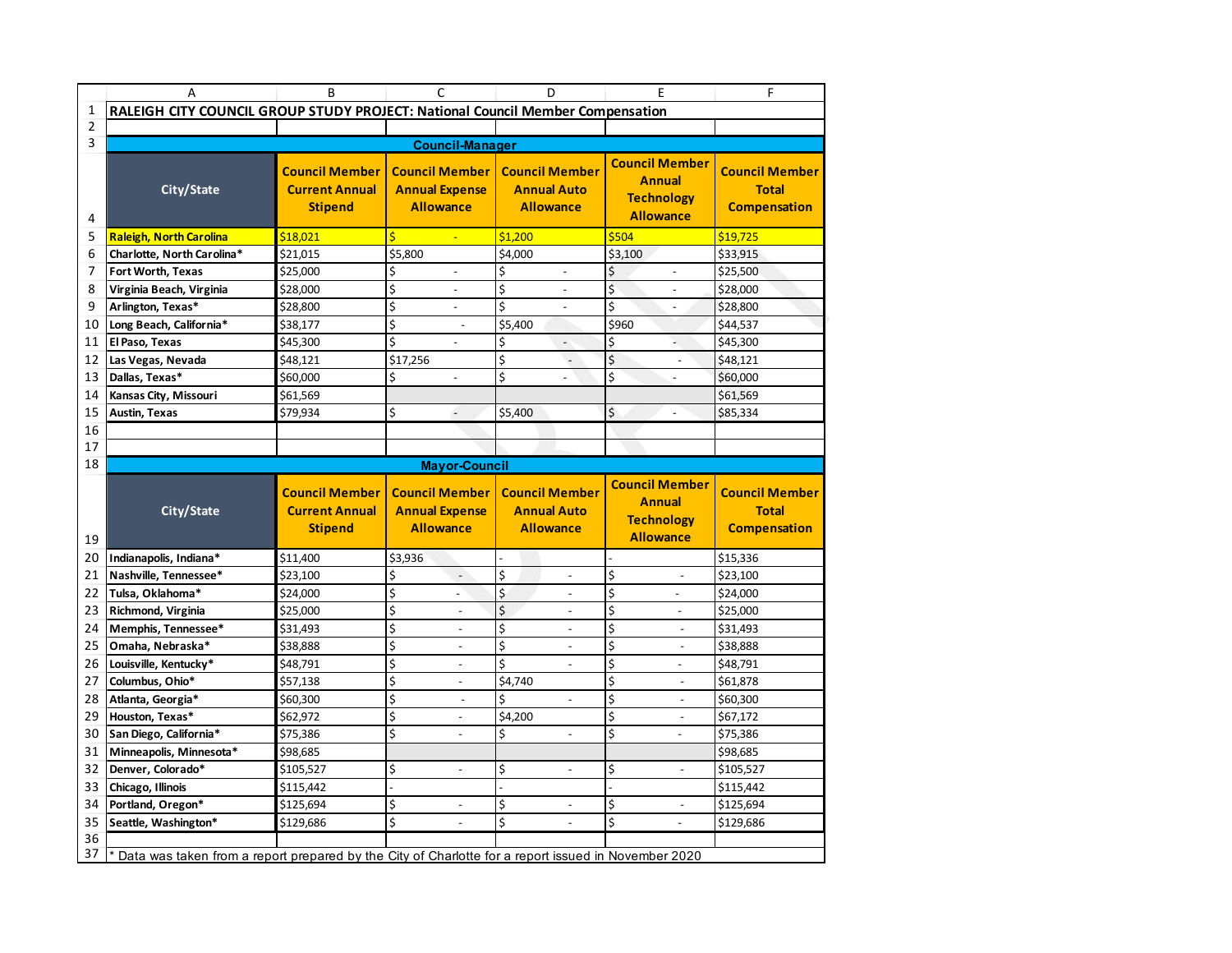|                | A                                                                                                   | B                                                                | C                                                                  | D                                                               | Ε                                                                               | F                                                            |
|----------------|-----------------------------------------------------------------------------------------------------|------------------------------------------------------------------|--------------------------------------------------------------------|-----------------------------------------------------------------|---------------------------------------------------------------------------------|--------------------------------------------------------------|
| 1              | RALEIGH CITY COUNCIL GROUP STUDY PROJECT: National Council Member Compensation                      |                                                                  |                                                                    |                                                                 |                                                                                 |                                                              |
| 2              |                                                                                                     |                                                                  |                                                                    |                                                                 |                                                                                 |                                                              |
| 3              |                                                                                                     |                                                                  | <b>Council-Manager</b>                                             |                                                                 |                                                                                 |                                                              |
| 4              | City/State                                                                                          | <b>Council Member</b><br><b>Current Annual</b><br><b>Stipend</b> | <b>Council Member</b><br><b>Annual Expense</b><br><b>Allowance</b> | <b>Council Member</b><br><b>Annual Auto</b><br><b>Allowance</b> | <b>Council Member</b><br><b>Annual</b><br><b>Technology</b><br><b>Allowance</b> | <b>Council Member</b><br><b>Total</b><br><b>Compensation</b> |
| 5              | <b>Raleigh, North Carolina</b>                                                                      | \$18,021                                                         | Ś                                                                  | \$1,200                                                         | \$504                                                                           | \$19,725                                                     |
| 6              | Charlotte, North Carolina*                                                                          | $\overline{$}21,015$                                             | \$5,800                                                            | $\overline{$}4,000$                                             | \$3,100                                                                         | \$33,915                                                     |
| $\overline{7}$ | Fort Worth, Texas                                                                                   | \$25,000                                                         | \$                                                                 | \$                                                              | \$                                                                              | \$25,500                                                     |
| 8              | Virginia Beach, Virginia                                                                            | \$28,000                                                         | \$                                                                 | $\overline{\xi}$                                                | \$                                                                              | \$28,000                                                     |
| 9              | Arlington, Texas*                                                                                   | \$28,800                                                         | \$<br>$\overline{\phantom{a}}$                                     | \$<br>$\overline{\phantom{a}}$                                  | \$<br>$\overline{a}$                                                            | \$28,800                                                     |
| 10             | Long Beach, California*                                                                             | \$38,177                                                         | \$<br>$\overline{a}$                                               | \$5,400                                                         | \$960                                                                           | \$44,537                                                     |
| 11             | El Paso, Texas                                                                                      | \$45,300                                                         | \$                                                                 | \$<br>$\overline{a}$                                            | \$                                                                              | \$45,300                                                     |
| 12             | Las Vegas, Nevada                                                                                   | \$48,121                                                         | \$17,256                                                           | \$<br>$\overline{\phantom{a}}$                                  | Ś<br>$\overline{a}$                                                             | \$48,121                                                     |
| 13             | Dallas, Texas*                                                                                      | \$60,000                                                         | \$<br>$\overline{a}$                                               | \$                                                              | \$<br>$\overline{a}$                                                            | \$60,000                                                     |
| 14             | Kansas City, Missouri                                                                               | \$61,569                                                         |                                                                    |                                                                 |                                                                                 | \$61,569                                                     |
| 15             | <b>Austin, Texas</b>                                                                                | \$79,934                                                         | \$<br>$\blacksquare$                                               | \$5,400                                                         | \$<br>$\overline{a}$                                                            | \$85,334                                                     |
| 16             |                                                                                                     |                                                                  |                                                                    |                                                                 |                                                                                 |                                                              |
| 17             |                                                                                                     |                                                                  |                                                                    |                                                                 |                                                                                 |                                                              |
| 18             |                                                                                                     |                                                                  | <b>Mayor-Council</b>                                               |                                                                 |                                                                                 |                                                              |
|                |                                                                                                     |                                                                  |                                                                    |                                                                 |                                                                                 |                                                              |
| 19             | City/State                                                                                          | <b>Council Member</b><br><b>Current Annual</b><br><b>Stipend</b> | <b>Council Member</b><br><b>Annual Expense</b><br><b>Allowance</b> | <b>Council Member</b><br><b>Annual Auto</b><br><b>Allowance</b> | <b>Council Member</b><br><b>Annual</b><br><b>Technology</b><br><b>Allowance</b> | <b>Council Member</b><br><b>Total</b><br><b>Compensation</b> |
| 20             | Indianapolis, Indiana*                                                                              | $\overline{$}11,400$                                             | \$3,936                                                            |                                                                 |                                                                                 | \$15,336                                                     |
| 21             | Nashville, Tennessee*                                                                               | \$23,100                                                         | \$<br>$\overline{a}$                                               | \$                                                              | \$<br>$\overline{\phantom{a}}$                                                  | \$23,100                                                     |
| 22             | Tulsa, Oklahoma*                                                                                    | \$24,000                                                         | \$                                                                 | \$                                                              | \$                                                                              | \$24,000                                                     |
| 23             | Richmond, Virginia                                                                                  | \$25,000                                                         | \$<br>$\overline{\phantom{a}}$                                     | \$<br>$\overline{\phantom{a}}$                                  | \$<br>$\overline{\phantom{a}}$                                                  | \$25,000                                                     |
| 24             | Memphis, Tennessee*                                                                                 | \$31,493                                                         | \$<br>$\overline{a}$                                               | $\overline{\xi}$<br>$\overline{a}$                              | \$<br>$\overline{\phantom{a}}$                                                  | \$31,493                                                     |
| 25             | Omaha, Nebraska*                                                                                    | \$38,888                                                         | \$<br>$\overline{\phantom{a}}$                                     | \$<br>$\overline{a}$                                            | \$<br>$\overline{a}$                                                            | \$38,888                                                     |
| 26             | Louisville, Kentucky*                                                                               | \$48,791                                                         | \$                                                                 | Ś                                                               | \$<br>$\overline{a}$                                                            | \$48,791                                                     |
| 27             | Columbus, Ohio*                                                                                     | \$57,138                                                         | \$<br>$\overline{\phantom{a}}$                                     | \$4,740                                                         | \$<br>$\overline{\phantom{a}}$                                                  | \$61,878                                                     |
| 28             | Atlanta, Georgia*                                                                                   | \$60,300                                                         | \$<br>$\overline{a}$                                               | \$<br>$\overline{a}$                                            | \$<br>$\overline{a}$                                                            | \$60,300                                                     |
| 29             | Houston, Texas*                                                                                     | \$62,972                                                         | \$                                                                 | \$4,200                                                         | \$                                                                              | \$67,172                                                     |
| 30             | San Diego, California*                                                                              | \$75,386                                                         | \$<br>$\overline{a}$                                               | \$<br>$\overline{a}$                                            | \$<br>$\frac{1}{2}$                                                             | \$75,386                                                     |
| 31             | Minneapolis, Minnesota*                                                                             | \$98,685                                                         |                                                                    |                                                                 |                                                                                 | \$98,685                                                     |
| 32             | Denver, Colorado*                                                                                   | \$105,527                                                        | \$                                                                 | \$                                                              | \$<br>$\overline{\phantom{a}}$                                                  | \$105,527                                                    |
| 33             | Chicago, Illinois                                                                                   | \$115,442                                                        |                                                                    |                                                                 |                                                                                 | \$115,442                                                    |
| 34             | Portland, Oregon*                                                                                   | \$125,694                                                        | \$<br>$\overline{a}$                                               | \$<br>$\overline{a}$                                            | \$                                                                              | \$125,694                                                    |
| 35             | Seattle, Washington*                                                                                | \$129,686                                                        | \$                                                                 | Ś                                                               | \$                                                                              | \$129,686                                                    |
| 36             | Data was taken from a report prepared by the City of Charlotte for a report issued in November 2020 |                                                                  |                                                                    |                                                                 |                                                                                 |                                                              |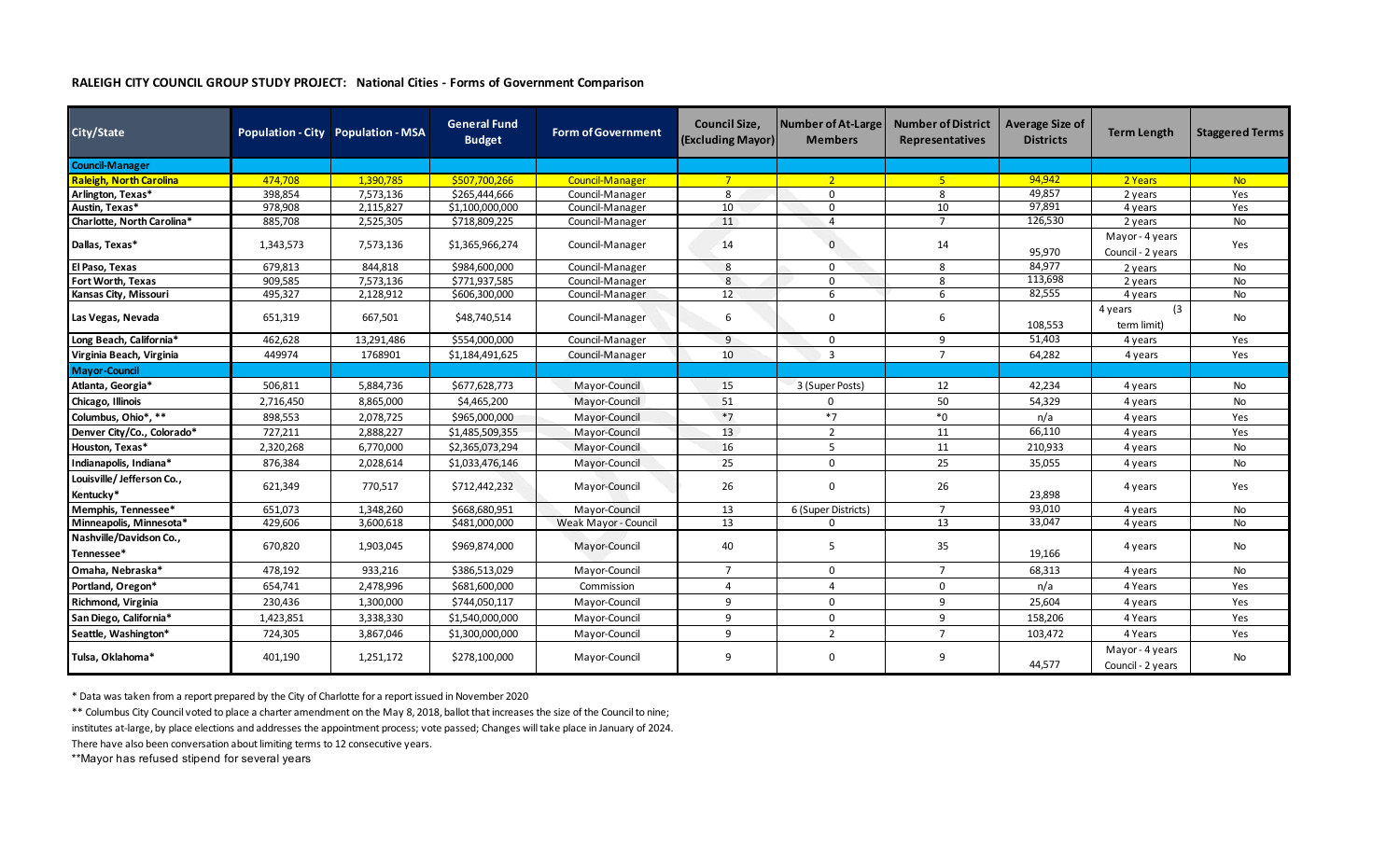## **RALEIGH CITY COUNCIL GROUP STUDY PROJECT: National Cities - Forms of Government Comparison**

| City/State                             |           | Population - City Population - MSA | <b>General Fund</b><br><b>Budget</b> | <b>Form of Government</b> | <b>Council Size.</b><br><b>(Excluding Mayor)</b> | Number of At-Large<br><b>Members</b> | <b>Number of District</b><br>Representatives | <b>Average Size of</b><br><b>Districts</b> | <b>Term Length</b>                   | <b>Staggered Terms</b> |
|----------------------------------------|-----------|------------------------------------|--------------------------------------|---------------------------|--------------------------------------------------|--------------------------------------|----------------------------------------------|--------------------------------------------|--------------------------------------|------------------------|
| <b>Council-Manager</b>                 |           |                                    |                                      |                           |                                                  |                                      |                                              |                                            |                                      |                        |
| <b>Raleigh, North Carolina</b>         | 474.708   | 1,390,785                          | \$507,700,266                        | Council-Manager           | $7^{\circ}$                                      | $\overline{2}$                       | $-5$                                         | 94,942                                     | 2 Years                              | <b>No</b>              |
| Arlington, Texas*                      | 398,854   | 7,573,136                          | \$265,444,666                        | Council-Manager           | 8                                                | $\mathbf 0$                          | 8                                            | 49,857                                     | 2 years                              | Yes                    |
| Austin, Texas*                         | 978,908   | 2,115,827                          | \$1,100,000,000                      | Council-Manager           | 10                                               | $\mathbf 0$                          | 10                                           | 97,891                                     | 4 years                              | Yes                    |
| Charlotte, North Carolina*             | 885,708   | 2,525,305                          | \$718,809,225                        | Council-Manager           | 11                                               | $\overline{a}$                       | $\overline{7}$                               | 126,530                                    | 2 years                              | No                     |
| Dallas, Texas*                         | 1,343,573 | 7,573,136                          | \$1,365,966,274                      | Council-Manager           | 14                                               | $\mathbf{0}$                         | 14                                           | 95,970                                     | Mayor - 4 years<br>Council - 2 years | Yes                    |
| El Paso, Texas                         | 679,813   | 844,818                            | \$984,600,000                        | Council-Manager           | 8                                                | $\mathbf 0$                          | 8                                            | 84,977                                     | 2 years                              | No                     |
| Fort Worth, Texas                      | 909,585   | 7,573,136                          | \$771,937,585                        | Council-Manager           | 8                                                | 0                                    | 8                                            | 113,698                                    | 2 years                              | No                     |
| Kansas City, Missouri                  | 495,327   | 2,128,912                          | \$606,300,000                        | Council-Manager           | 12                                               | 6                                    | 6                                            | 82,555                                     | 4 years                              | No                     |
| Las Vegas, Nevada                      | 651,319   | 667,501                            | \$48,740,514                         | Council-Manager           | 6                                                | $\mathbf 0$                          | 6                                            | 108,553                                    | (3)<br>4 years<br>term limit)        | No                     |
| Long Beach, California*                | 462,628   | 13,291,486                         | \$554,000,000                        | Council-Manager           | 9                                                | $\mathbf 0$                          | 9                                            | 51,403                                     | 4 years                              | Yes                    |
| Virginia Beach, Virginia               | 449974    | 1768901                            | \$1,184,491,625                      | Council-Manager           | 10                                               | $\overline{3}$                       | $\overline{7}$                               | 64,282                                     | 4 years                              | Yes                    |
| <b>Mayor-Council</b>                   |           |                                    |                                      |                           |                                                  |                                      |                                              |                                            |                                      |                        |
| Atlanta, Georgia*                      | 506,811   | 5,884,736                          | \$677,628,773                        | Mayor-Council             | 15                                               | 3 (Super Posts)                      | 12                                           | 42,234                                     | 4 years                              | No                     |
| Chicago, Illinois                      | 2,716,450 | 8,865,000                          | \$4,465,200                          | Mayor-Council             | 51                                               | $\Omega$                             | 50                                           | 54,329                                     | 4 years                              | No                     |
| Columbus, Ohio*, **                    | 898,553   | 2,078,725                          | \$965,000,000                        | Mayor-Council             | $*7$                                             | $*7$                                 | $*_{0}$                                      | n/a                                        | 4 years                              | Yes                    |
| Denver City/Co., Colorado*             | 727.211   | 2.888.227                          | \$1,485,509,355                      | Mayor-Council             | 13                                               | $\overline{2}$                       | 11                                           | 66,110                                     | 4 years                              | Yes                    |
| Houston, Texas*                        | 2,320,268 | 6,770,000                          | \$2,365,073,294                      | Mayor-Council             | 16                                               | 5                                    | 11                                           | 210,933                                    | 4 years                              | No                     |
| Indianapolis, Indiana*                 | 876,384   | 2,028,614                          | \$1,033,476,146                      | Mayor-Council             | 25                                               | $\Omega$                             | 25                                           | 35,055                                     | 4 years                              | No                     |
| Louisville/Jefferson Co.,<br>Kentucky* | 621,349   | 770,517                            | \$712,442,232                        | Mayor-Council             | 26                                               | 0                                    | 26                                           | 23,898                                     | 4 years                              | Yes                    |
| Memphis, Tennessee*                    | 651,073   | 1,348,260                          | \$668,680,951                        | Mayor-Council             | 13                                               | 6 (Super Districts)                  | $\overline{7}$                               | 93,010                                     | 4 years                              | No                     |
| Minneapolis, Minnesota*                | 429,606   | 3,600,618                          | \$481,000,000                        | Weak Mayor - Council      | 13                                               | $\Omega$                             | 13                                           | 33,047                                     | 4 years                              | No                     |
| Nashville/Davidson Co.,<br>Tennessee*  | 670,820   | 1,903,045                          | \$969,874,000                        | Mayor-Council             | 40                                               | 5                                    | 35                                           | 19,166                                     | 4 years                              | No                     |
| Omaha, Nebraska*                       | 478,192   | 933,216                            | \$386,513,029                        | Mayor-Council             | $\overline{7}$                                   | $\Omega$                             | $\overline{7}$                               | 68,313                                     | 4 years                              | No                     |
| Portland, Oregon*                      | 654,741   | 2,478,996                          | \$681,600,000                        | Commission                | $\overline{4}$                                   | $\overline{a}$                       | $\mathbf 0$                                  | n/a                                        | 4 Years                              | Yes                    |
| Richmond, Virginia                     | 230,436   | 1,300,000                          | \$744,050,117                        | Mayor-Council             | 9                                                | $\mathbf 0$                          | 9                                            | 25,604                                     | 4 years                              | Yes                    |
| San Diego, California*                 | 1,423,851 | 3,338,330                          | \$1,540,000,000                      | Mayor-Council             | 9                                                | $\mathbf 0$                          | 9                                            | 158,206                                    | 4 Years                              | Yes                    |
| Seattle, Washington*                   | 724,305   | 3,867,046                          | \$1,300,000,000                      | Mayor-Council             | 9                                                | 2                                    | $\overline{7}$                               | 103,472                                    | 4 Years                              | Yes                    |
| Tulsa, Oklahoma*                       | 401,190   | 1,251,172                          | \$278,100,000                        | Mayor-Council             | 9                                                | $\mathbf 0$                          | 9                                            | 44,577                                     | Mayor - 4 years<br>Council - 2 years | No                     |

\* Data was taken from a report prepared by the City of Charlotte for a report issued in November 2020

\*\* Columbus City Council voted to place a charter amendment on the May 8, 2018, ballot that increases the size of the Council to nine;

institutes at-large, by place elections and addresses the appointment process; vote passed; Changes will take place in January of 2024.

There have also been conversation about limiting terms to 12 consecutive years.

\*\*Mayor has refused stipend for several years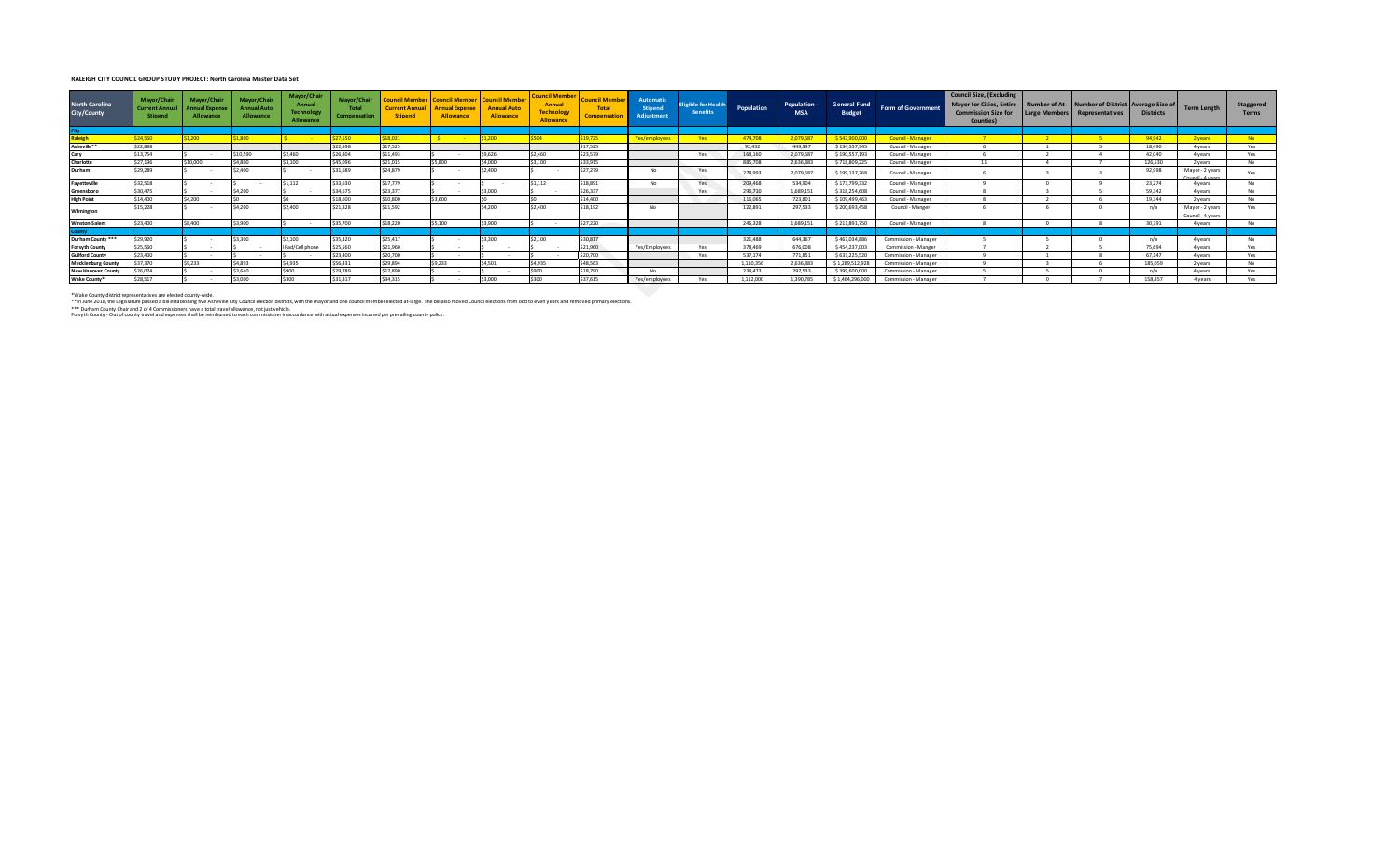## **RALEIGH CITY COUNCIL GROUP STUDY PROJECT: North Carolina Master Data Set**

| <b>North Carolina</b><br>City/County | Mavor/Chair<br><b>Current Annu</b><br><b>Stipend</b> | Mayor/Chair<br><b>Innual Expense</b><br>Allowance | Mayor/Chair<br><b>Annual Auto</b><br>Allowance | Mayor/Chair<br>Annual<br><b>Technology</b><br>Allowance | Mayor/Chair<br>Total<br>Compensation | <b>Ouncil Membe</b><br><b>Current Annual</b><br><b>Stipend</b> | <b>Council Member</b><br><b>Annual Expense</b><br>Allowance | <b>Council Membe</b><br><b>Annual Auto</b><br>Allowance | <b>Council Member</b><br>Annual<br><b>Technology</b><br>Allowance | <b>Council Memb.</b><br><b>Tota</b><br>Compensati | Automatic<br><b>Stipend</b><br>Adiustment | ligible for Health<br><b>Benefits</b> | Population | Population -<br><b>MSA</b> | <b>General Fund</b><br><b>Budget</b> | Form of Government   | <b>Council Size, (Excluding</b><br>Mayor for Cities, Entire   Number of At-   Number of District   Average Size of<br>Commission Size for Large Members   Representatives<br>Counties) |      |      | <b>Districts</b> | <b>Term Length</b>                   | Staggered<br><b>Terms</b> |
|--------------------------------------|------------------------------------------------------|---------------------------------------------------|------------------------------------------------|---------------------------------------------------------|--------------------------------------|----------------------------------------------------------------|-------------------------------------------------------------|---------------------------------------------------------|-------------------------------------------------------------------|---------------------------------------------------|-------------------------------------------|---------------------------------------|------------|----------------------------|--------------------------------------|----------------------|----------------------------------------------------------------------------------------------------------------------------------------------------------------------------------------|------|------|------------------|--------------------------------------|---------------------------|
| <b>City</b>                          |                                                      |                                                   |                                                |                                                         |                                      |                                                                |                                                             |                                                         |                                                                   |                                                   |                                           |                                       |            |                            |                                      |                      |                                                                                                                                                                                        |      |      |                  |                                      |                           |
| <b>Raleigh</b>                       | \$24,550                                             | \$1,200                                           | 1.800                                          |                                                         | \$27,550                             | \$18,021                                                       |                                                             | 1.200                                                   | 5504                                                              | \$19,725                                          | Yes/employees                             | Yes                                   | 474.708    | 2.079.687                  | \$543,900,000                        | Council - Manager    | <b>Participants</b>                                                                                                                                                                    | $-2$ | $-5$ | 94.942           | 2 years                              | No.                       |
| Asheville**                          | \$22,898                                             |                                                   |                                                |                                                         | \$22,898                             | \$17,525                                                       |                                                             |                                                         |                                                                   | \$17,525                                          |                                           |                                       | 92.452     | 449,937                    | \$134,557,345                        | Council - Manager    |                                                                                                                                                                                        |      |      | 18,490           | 4 years                              | Yes                       |
| Cary                                 | \$13,754                                             |                                                   | 10.590                                         | \$2.460                                                 | \$26,804                             | \$11,493                                                       |                                                             | \$9.626                                                 | \$2,460                                                           | \$23,579                                          |                                           | Yes                                   | 168,160    | 2,079,687                  | \$190,557,193                        | Council - Manager    |                                                                                                                                                                                        |      |      | 42,040           | 4 years                              | Yes                       |
| Charlotte                            | \$27.196                                             | \$10,000                                          | \$4,800                                        | \$3,100                                                 | \$45,096                             | \$21,015                                                       | \$5,800                                                     | \$4,000                                                 | \$3,100                                                           | \$33,915                                          |                                           |                                       | 885,708    | 2.636.883                  | \$718,809,225                        | Council - Manager    | 11                                                                                                                                                                                     |      |      | 126,530          | 2 years                              | <b>No</b>                 |
| Durham                               | \$29,289                                             |                                                   | 2,400                                          |                                                         | \$31,689                             | \$24,879                                                       |                                                             | 2,400                                                   |                                                                   | \$27,279                                          | No                                        | Yes                                   | 278,993    | 2,079,687                  | \$199,137,768                        | Council - Manager    |                                                                                                                                                                                        |      |      | 92,998           | Mayor - 2 years                      | Yes                       |
| Fayetteville                         | \$32.518                                             | $\sim$                                            |                                                | \$1.112                                                 | \$33,630                             | \$17,779                                                       | $\sim$                                                      |                                                         | \$1.112                                                           | \$18,891                                          | No                                        | Yes                                   | 209,468    | 534,904                    | \$173,799,332                        | Council - Manager    |                                                                                                                                                                                        |      |      | 23,274           | 4 years                              | <b>No</b>                 |
| Greensboro                           | \$30,475                                             |                                                   | \$4,200                                        |                                                         | \$34,675                             | \$23,377                                                       |                                                             | 3,000                                                   |                                                                   | \$26,337                                          |                                           | Yes                                   | 296,710    | 1.689.15                   | \$318,254,608                        | Council - Manager    |                                                                                                                                                                                        |      |      | 59,342           | 4 years                              | <b>No</b>                 |
| <b>High Point</b>                    | \$14,400                                             | \$4,200                                           |                                                |                                                         | \$18,600                             | \$10,800                                                       | 3.600                                                       |                                                         |                                                                   | \$14,400                                          |                                           |                                       | 116,065    | 723,801                    | \$109,499,463                        | Council - Manager    |                                                                                                                                                                                        |      |      | 19.344           | 2 years                              | <b>No</b>                 |
| Wilmington                           | \$15,228                                             |                                                   | \$4,200                                        | \$2.400                                                 | \$21.828                             | \$11,592                                                       |                                                             | \$4,200                                                 | \$2,400                                                           | \$18,192                                          | No                                        |                                       | 122,891    | 297,533                    | \$200,693,458                        | Council - Manger     |                                                                                                                                                                                        |      |      | n/a              | Mayor - 2 years<br>Council - 4 years | Yes                       |
| <b>Winston-Salem</b>                 | \$23,400                                             | \$8,400                                           | \$3,900                                        |                                                         | \$35,700                             | \$18,220                                                       | \$5,100                                                     | 3.900                                                   |                                                                   | \$27,220                                          |                                           |                                       | 246,328    | 1,689.151                  | \$211,891,750                        | Council - Manager    |                                                                                                                                                                                        |      |      | 30.791           | 4 years                              | <b>No</b>                 |
| <b>County</b>                        |                                                      |                                                   |                                                |                                                         |                                      |                                                                |                                                             |                                                         |                                                                   |                                                   |                                           |                                       |            |                            |                                      |                      |                                                                                                                                                                                        |      |      |                  |                                      |                           |
| Durham County ***                    | \$29.920                                             |                                                   | 300                                            | 2.100                                                   | \$35.320                             | \$25,417                                                       | $\sim$                                                      | 3.300                                                   | \$2.100                                                           | \$30,817                                          |                                           |                                       | 321,488    | 644,367                    | \$467,034,886                        | Commission - Manager |                                                                                                                                                                                        |      |      | n/a              | 4 years                              | No                        |
| <b>Forsyth County</b>                | \$25,560                                             |                                                   |                                                | IPad/Cell phone                                         | \$25,560                             | \$21,960                                                       |                                                             |                                                         |                                                                   | \$21,960                                          | Yes/Employees                             | Yes                                   | 378,469    | 676,008                    | \$454,237,003                        | Commission - Manger  |                                                                                                                                                                                        |      |      | 75.694           | 4 years                              | Yes                       |
| <b>Guilford County</b>               | \$23,400                                             | $\sim$                                            |                                                |                                                         | \$23,400                             | \$20,700                                                       | $\sim$                                                      |                                                         |                                                                   | \$20,700                                          |                                           | Yes                                   | 537.174    | 771.851                    | \$633,225,520                        | Commission - Manager |                                                                                                                                                                                        |      |      | 67.147           | 4 years                              | Yes                       |
| <b>Mecklenburg County</b>            | \$37,370                                             | S9.233                                            | \$4,893                                        | \$4,935                                                 | \$56.431                             | \$29,894                                                       | \$9,233                                                     | \$4,501                                                 | \$4,935                                                           | \$48,563                                          |                                           |                                       | 1.110.356  | 2,636,883                  | \$1,289,512,928                      | Commission - Manager |                                                                                                                                                                                        |      |      | 185,059          | 2 years                              | <b>No</b>                 |
| <b>New Hanover County</b>            | \$26.074                                             |                                                   | 3.640                                          | :ann                                                    | \$29,789                             | \$17,890                                                       |                                                             |                                                         | \$900                                                             | \$18,790                                          | No                                        |                                       | 234,473    | 297.533                    | \$399,600,000                        | Commission - Manager |                                                                                                                                                                                        |      |      | n/a              | 4 years                              | Yes                       |
| Wake County*                         | \$28,517                                             |                                                   | 3.000                                          | \$300                                                   | \$31.817                             | \$34,315                                                       |                                                             | 3,000                                                   | \$300                                                             | \$37,615                                          | Yes/employees                             | Yes                                   | 1,112,000  | 1.390.785                  | \$1,464,296,000                      | Commission - Manager |                                                                                                                                                                                        |      |      | 158,857          | 4 years                              | Yes                       |
|                                      |                                                      |                                                   |                                                |                                                         |                                      |                                                                |                                                             |                                                         |                                                                   |                                                   |                                           |                                       |            |                            |                                      |                      |                                                                                                                                                                                        |      |      |                  |                                      |                           |

\*Wake County district representatives are elected county-wide.

\*\*In June 2018, the Learls that end as the stabilishing five Asheville City Council election districs, with the mayor and one council member elected at-large. The bill also moved Council elections from odd to even years an

Forsyth County - Out of county travel and expenses shall be reimbursed to each commissioner in accordance with actual expenses incurred per prevailing county policy.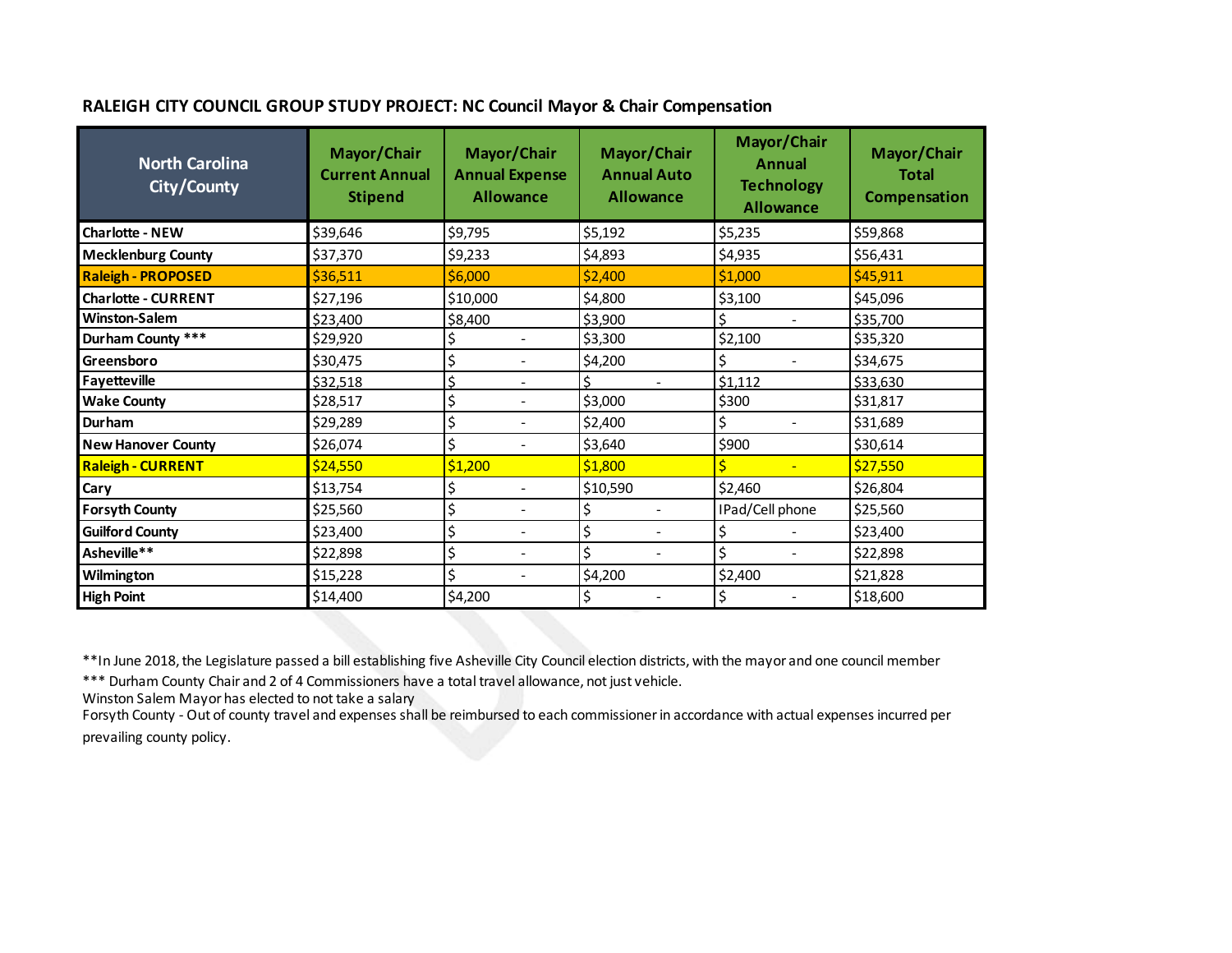## **RALEIGH CITY COUNCIL GROUP STUDY PROJECT: NC Council Mayor & Chair Compensation**

| North Carolina<br>City/County | Mayor/Chair<br><b>Current Annual</b><br><b>Stipend</b> | Mayor/Chair<br><b>Annual Expense</b><br><b>Allowance</b> | Mayor/Chair<br><b>Annual Auto</b><br><b>Allowance</b> | Mayor/Chair<br><b>Annual</b><br><b>Technology</b><br><b>Allowance</b> | Mayor/Chair<br><b>Total</b><br><b>Compensation</b> |
|-------------------------------|--------------------------------------------------------|----------------------------------------------------------|-------------------------------------------------------|-----------------------------------------------------------------------|----------------------------------------------------|
| <b>Charlotte - NEW</b>        | \$39,646                                               | \$9,795                                                  | \$5,192                                               | \$5,235                                                               | \$59,868                                           |
| <b>Mecklenburg County</b>     | \$37,370                                               | \$9,233                                                  | \$4,893                                               | \$4,935                                                               | \$56,431                                           |
| <b>Raleigh - PROPOSED</b>     | \$36,511                                               | \$6,000                                                  | \$2,400                                               | \$1,000                                                               | \$45,911                                           |
| <b>Charlotte - CURRENT</b>    | \$27,196                                               | \$10,000                                                 | \$4,800                                               | \$3,100                                                               | \$45,096                                           |
| <b>Winston-Salem</b>          | \$23,400                                               | \$8,400                                                  | \$3,900                                               | Ś.                                                                    | \$35,700                                           |
| Durham County ***             | \$29,920                                               | \$<br>$\overline{\phantom{a}}$                           | \$3,300                                               | \$2,100                                                               | \$35,320                                           |
| Greensboro                    | \$30,475                                               | \$<br>$\overline{\phantom{0}}$                           | \$4,200                                               | Ś                                                                     | \$34,675                                           |
| Fayetteville                  | \$32,518                                               | Ś                                                        | Ś.                                                    | \$1,112                                                               | \$33,630                                           |
| <b>Wake County</b>            | \$28,517                                               | \$<br>$\blacksquare$                                     | \$3,000                                               | \$300                                                                 | \$31,817                                           |
| Durham                        | \$29,289                                               | \$<br>$\qquad \qquad \blacksquare$                       | \$2,400                                               | \$                                                                    | \$31,689                                           |
| <b>New Hanover County</b>     | \$26,074                                               | \$                                                       | \$3,640                                               | \$900                                                                 | \$30,614                                           |
| <b>Raleigh - CURRENT</b>      | \$24,550                                               | \$1,200                                                  | \$1,800                                               | $\equiv$                                                              | \$27,550                                           |
| Cary                          | \$13,754                                               | \$<br>$\overline{\phantom{0}}$                           | \$10,590                                              | \$2,460                                                               | \$26,804                                           |
| <b>Forsyth County</b>         | \$25,560                                               | \$<br>$\overline{\phantom{0}}$                           | \$<br>$\overline{\phantom{a}}$                        | IPad/Cell phone                                                       | \$25,560                                           |
| <b>Guilford County</b>        | \$23,400                                               | \$                                                       | \$                                                    | Ś                                                                     | \$23,400                                           |
| Asheville**                   | \$22,898                                               | \$<br>$\overline{\phantom{0}}$                           | \$                                                    | \$                                                                    | \$22,898                                           |
| Wilmington                    | \$15,228                                               | \$<br>$\overline{\phantom{a}}$                           | \$4,200                                               | \$2,400                                                               | \$21,828                                           |
| <b>High Point</b>             | \$14,400                                               | \$4,200                                                  | \$                                                    | Ś                                                                     | \$18,600                                           |

\*\*In June 2018, the Legislature passed a bill establishing five Asheville City Council election districts, with the mayor and one council member

\*\*\* Durham County Chair and 2 of 4 Commissioners have a total travel allowance, not just vehicle.

Winston Salem Mayor has elected to not take a salary

Forsyth County - Out of county travel and expenses shall be reimbursed to each commissioner in accordance with actual expenses incurred per prevailing county policy.